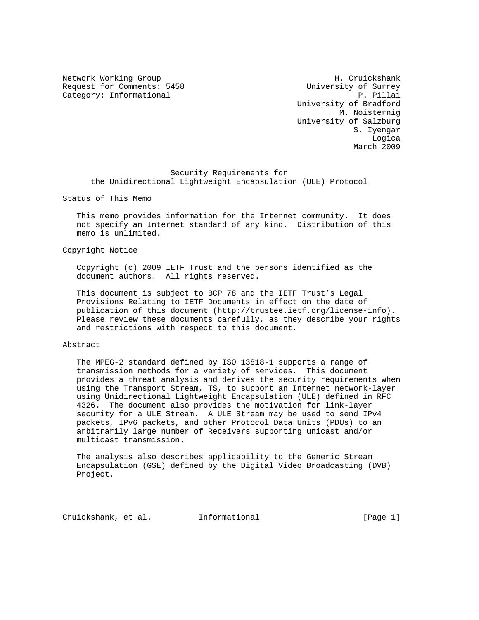Request for Comments: 5458 University of Surrey Category: Informational P. Pillai

Network Working Group Network H. Cruickshank University of Bradford M. Noisternig University of Salzburg S. Iyengar na dia 1992 no amin'ny faritr'i Nouvelle-Aquitaine, ao amin'ny faritr'i Nouvelle-Aquitaine, ao Frantsa.<br>Ny INSEE dia mampiasa ny kaodim-paositra 2008–2014. Ilay kaominina dia kaominina mpikambana amin'ny fivondrona March 2009

 Security Requirements for the Unidirectional Lightweight Encapsulation (ULE) Protocol

Status of This Memo

 This memo provides information for the Internet community. It does not specify an Internet standard of any kind. Distribution of this memo is unlimited.

Copyright Notice

 Copyright (c) 2009 IETF Trust and the persons identified as the document authors. All rights reserved.

 This document is subject to BCP 78 and the IETF Trust's Legal Provisions Relating to IETF Documents in effect on the date of publication of this document (http://trustee.ietf.org/license-info). Please review these documents carefully, as they describe your rights and restrictions with respect to this document.

## Abstract

 The MPEG-2 standard defined by ISO 13818-1 supports a range of transmission methods for a variety of services. This document provides a threat analysis and derives the security requirements when using the Transport Stream, TS, to support an Internet network-layer using Unidirectional Lightweight Encapsulation (ULE) defined in RFC 4326. The document also provides the motivation for link-layer security for a ULE Stream. A ULE Stream may be used to send IPv4 packets, IPv6 packets, and other Protocol Data Units (PDUs) to an arbitrarily large number of Receivers supporting unicast and/or multicast transmission.

 The analysis also describes applicability to the Generic Stream Encapsulation (GSE) defined by the Digital Video Broadcasting (DVB) Project.

Cruickshank, et al. Informational [Page 1]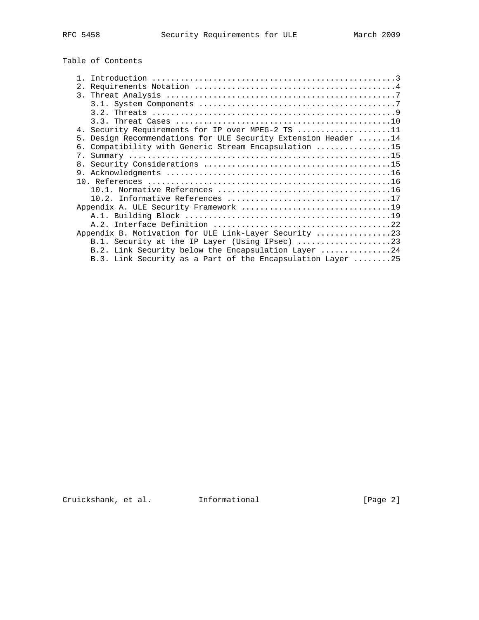# Table of Contents

| $\mathbf{1}$                                                    |
|-----------------------------------------------------------------|
| 2.                                                              |
|                                                                 |
|                                                                 |
|                                                                 |
|                                                                 |
| 4. Security Requirements for IP over MPEG-2 TS 11               |
| 5. Design Recommendations for ULE Security Extension Header  14 |
| 6. Compatibility with Generic Stream Encapsulation 15           |
| $7_{\circ}$                                                     |
| 8.                                                              |
|                                                                 |
|                                                                 |
|                                                                 |
|                                                                 |
|                                                                 |
|                                                                 |
|                                                                 |
|                                                                 |
| Appendix B. Motivation for ULE Link-Layer Security 23           |
|                                                                 |
| B.2. Link Security below the Encapsulation Layer 24             |
| B.3. Link Security as a Part of the Encapsulation Layer 25      |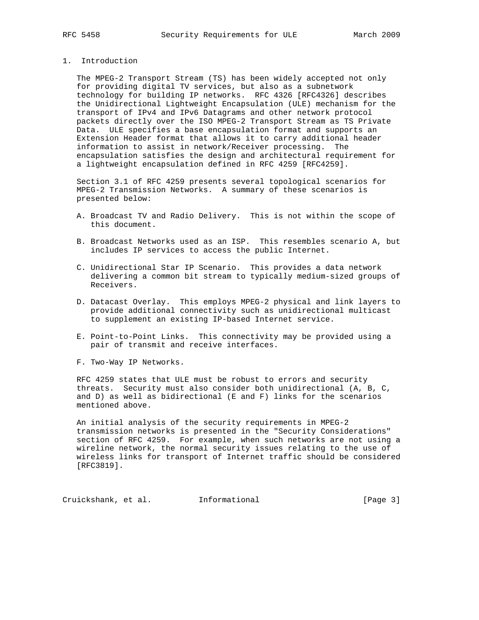## 1. Introduction

 The MPEG-2 Transport Stream (TS) has been widely accepted not only for providing digital TV services, but also as a subnetwork technology for building IP networks. RFC 4326 [RFC4326] describes the Unidirectional Lightweight Encapsulation (ULE) mechanism for the transport of IPv4 and IPv6 Datagrams and other network protocol packets directly over the ISO MPEG-2 Transport Stream as TS Private Data. ULE specifies a base encapsulation format and supports an Extension Header format that allows it to carry additional header information to assist in network/Receiver processing. The encapsulation satisfies the design and architectural requirement for a lightweight encapsulation defined in RFC 4259 [RFC4259].

 Section 3.1 of RFC 4259 presents several topological scenarios for MPEG-2 Transmission Networks. A summary of these scenarios is presented below:

- A. Broadcast TV and Radio Delivery. This is not within the scope of this document.
- B. Broadcast Networks used as an ISP. This resembles scenario A, but includes IP services to access the public Internet.
- C. Unidirectional Star IP Scenario. This provides a data network delivering a common bit stream to typically medium-sized groups of Receivers.
- D. Datacast Overlay. This employs MPEG-2 physical and link layers to provide additional connectivity such as unidirectional multicast to supplement an existing IP-based Internet service.
- E. Point-to-Point Links. This connectivity may be provided using a pair of transmit and receive interfaces.
- F. Two-Way IP Networks.

 RFC 4259 states that ULE must be robust to errors and security threats. Security must also consider both unidirectional (A, B, C, and D) as well as bidirectional (E and F) links for the scenarios mentioned above.

 An initial analysis of the security requirements in MPEG-2 transmission networks is presented in the "Security Considerations" section of RFC 4259. For example, when such networks are not using a wireline network, the normal security issues relating to the use of wireless links for transport of Internet traffic should be considered [RFC3819].

Cruickshank, et al. 1nformational 1999 [Page 3]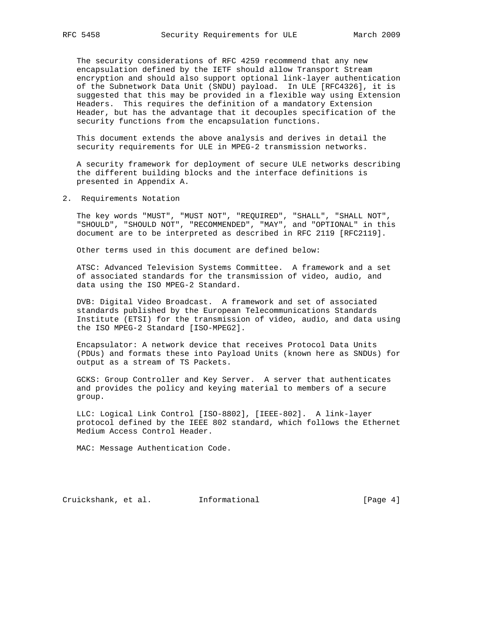The security considerations of RFC 4259 recommend that any new encapsulation defined by the IETF should allow Transport Stream encryption and should also support optional link-layer authentication of the Subnetwork Data Unit (SNDU) payload. In ULE [RFC4326], it is suggested that this may be provided in a flexible way using Extension Headers. This requires the definition of a mandatory Extension Header, but has the advantage that it decouples specification of the security functions from the encapsulation functions.

 This document extends the above analysis and derives in detail the security requirements for ULE in MPEG-2 transmission networks.

 A security framework for deployment of secure ULE networks describing the different building blocks and the interface definitions is presented in Appendix A.

2. Requirements Notation

 The key words "MUST", "MUST NOT", "REQUIRED", "SHALL", "SHALL NOT", "SHOULD", "SHOULD NOT", "RECOMMENDED", "MAY", and "OPTIONAL" in this document are to be interpreted as described in RFC 2119 [RFC2119].

Other terms used in this document are defined below:

 ATSC: Advanced Television Systems Committee. A framework and a set of associated standards for the transmission of video, audio, and data using the ISO MPEG-2 Standard.

 DVB: Digital Video Broadcast. A framework and set of associated standards published by the European Telecommunications Standards Institute (ETSI) for the transmission of video, audio, and data using the ISO MPEG-2 Standard [ISO-MPEG2].

 Encapsulator: A network device that receives Protocol Data Units (PDUs) and formats these into Payload Units (known here as SNDUs) for output as a stream of TS Packets.

 GCKS: Group Controller and Key Server. A server that authenticates and provides the policy and keying material to members of a secure group.

 LLC: Logical Link Control [ISO-8802], [IEEE-802]. A link-layer protocol defined by the IEEE 802 standard, which follows the Ethernet Medium Access Control Header.

MAC: Message Authentication Code.

Cruickshank, et al. Informational [Page 4]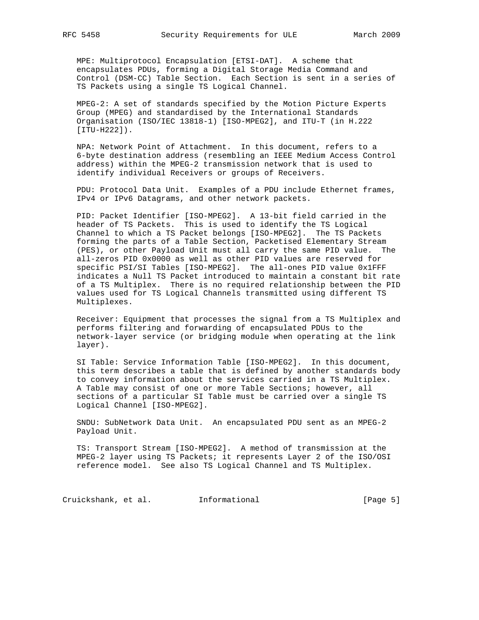MPE: Multiprotocol Encapsulation [ETSI-DAT]. A scheme that encapsulates PDUs, forming a Digital Storage Media Command and Control (DSM-CC) Table Section. Each Section is sent in a series of TS Packets using a single TS Logical Channel.

 MPEG-2: A set of standards specified by the Motion Picture Experts Group (MPEG) and standardised by the International Standards Organisation (ISO/IEC 13818-1) [ISO-MPEG2], and ITU-T (in H.222 [ITU-H222]).

 NPA: Network Point of Attachment. In this document, refers to a 6-byte destination address (resembling an IEEE Medium Access Control address) within the MPEG-2 transmission network that is used to identify individual Receivers or groups of Receivers.

 PDU: Protocol Data Unit. Examples of a PDU include Ethernet frames, IPv4 or IPv6 Datagrams, and other network packets.

 PID: Packet Identifier [ISO-MPEG2]. A 13-bit field carried in the header of TS Packets. This is used to identify the TS Logical Channel to which a TS Packet belongs [ISO-MPEG2]. The TS Packets forming the parts of a Table Section, Packetised Elementary Stream (PES), or other Payload Unit must all carry the same PID value. The all-zeros PID 0x0000 as well as other PID values are reserved for specific PSI/SI Tables [ISO-MPEG2]. The all-ones PID value 0x1FFF indicates a Null TS Packet introduced to maintain a constant bit rate of a TS Multiplex. There is no required relationship between the PID values used for TS Logical Channels transmitted using different TS Multiplexes.

 Receiver: Equipment that processes the signal from a TS Multiplex and performs filtering and forwarding of encapsulated PDUs to the network-layer service (or bridging module when operating at the link layer).

 SI Table: Service Information Table [ISO-MPEG2]. In this document, this term describes a table that is defined by another standards body to convey information about the services carried in a TS Multiplex. A Table may consist of one or more Table Sections; however, all sections of a particular SI Table must be carried over a single TS Logical Channel [ISO-MPEG2].

 SNDU: SubNetwork Data Unit. An encapsulated PDU sent as an MPEG-2 Payload Unit.

 TS: Transport Stream [ISO-MPEG2]. A method of transmission at the MPEG-2 layer using TS Packets; it represents Layer 2 of the ISO/OSI reference model. See also TS Logical Channel and TS Multiplex.

Cruickshank, et al. 1nformational 1999 [Page 5]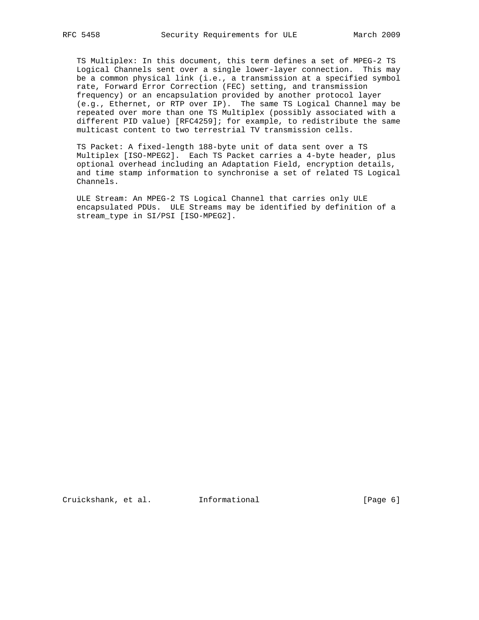TS Multiplex: In this document, this term defines a set of MPEG-2 TS Logical Channels sent over a single lower-layer connection. This may be a common physical link (i.e., a transmission at a specified symbol rate, Forward Error Correction (FEC) setting, and transmission frequency) or an encapsulation provided by another protocol layer (e.g., Ethernet, or RTP over IP). The same TS Logical Channel may be repeated over more than one TS Multiplex (possibly associated with a different PID value) [RFC4259]; for example, to redistribute the same multicast content to two terrestrial TV transmission cells.

 TS Packet: A fixed-length 188-byte unit of data sent over a TS Multiplex [ISO-MPEG2]. Each TS Packet carries a 4-byte header, plus optional overhead including an Adaptation Field, encryption details, and time stamp information to synchronise a set of related TS Logical Channels.

 ULE Stream: An MPEG-2 TS Logical Channel that carries only ULE encapsulated PDUs. ULE Streams may be identified by definition of a stream\_type in SI/PSI [ISO-MPEG2].

Cruickshank, et al. Informational [Page 6]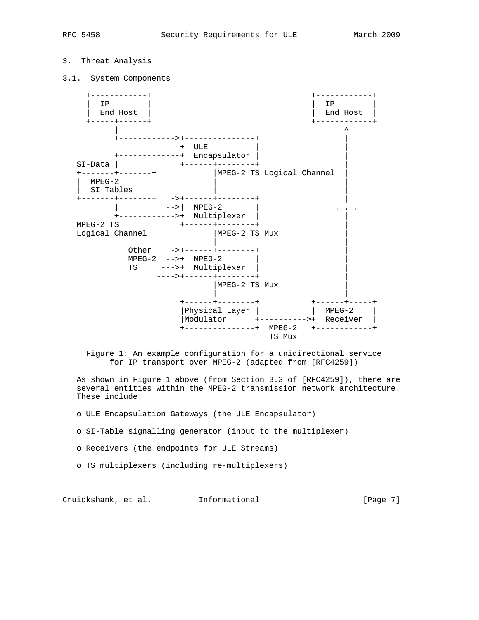## 3. Threat Analysis

3.1. System Components



 Figure 1: An example configuration for a unidirectional service for IP transport over MPEG-2 (adapted from [RFC4259])

 As shown in Figure 1 above (from Section 3.3 of [RFC4259]), there are several entities within the MPEG-2 transmission network architecture. These include:

o ULE Encapsulation Gateways (the ULE Encapsulator)

- o SI-Table signalling generator (input to the multiplexer)
- o Receivers (the endpoints for ULE Streams)
- o TS multiplexers (including re-multiplexers)

Cruickshank, et al. Informational [Page 7]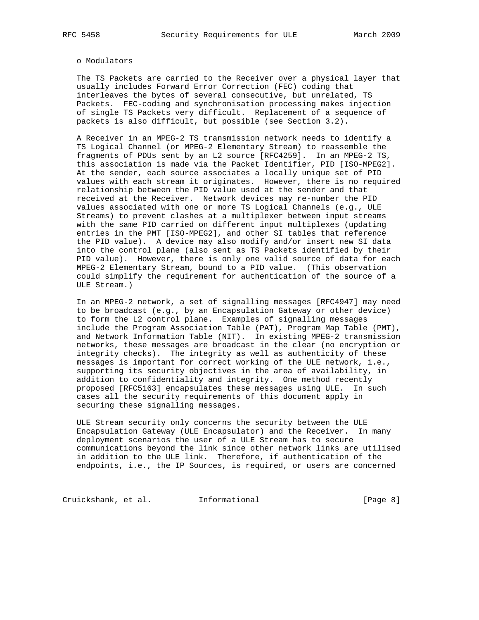#### o Modulators

 The TS Packets are carried to the Receiver over a physical layer that usually includes Forward Error Correction (FEC) coding that interleaves the bytes of several consecutive, but unrelated, TS Packets. FEC-coding and synchronisation processing makes injection of single TS Packets very difficult. Replacement of a sequence of packets is also difficult, but possible (see Section 3.2).

 A Receiver in an MPEG-2 TS transmission network needs to identify a TS Logical Channel (or MPEG-2 Elementary Stream) to reassemble the fragments of PDUs sent by an L2 source [RFC4259]. In an MPEG-2 TS, this association is made via the Packet Identifier, PID [ISO-MPEG2]. At the sender, each source associates a locally unique set of PID values with each stream it originates. However, there is no required relationship between the PID value used at the sender and that received at the Receiver. Network devices may re-number the PID values associated with one or more TS Logical Channels (e.g., ULE Streams) to prevent clashes at a multiplexer between input streams with the same PID carried on different input multiplexes (updating entries in the PMT [ISO-MPEG2], and other SI tables that reference the PID value). A device may also modify and/or insert new SI data into the control plane (also sent as TS Packets identified by their PID value). However, there is only one valid source of data for each MPEG-2 Elementary Stream, bound to a PID value. (This observation could simplify the requirement for authentication of the source of a ULE Stream.)

 In an MPEG-2 network, a set of signalling messages [RFC4947] may need to be broadcast (e.g., by an Encapsulation Gateway or other device) to form the L2 control plane. Examples of signalling messages include the Program Association Table (PAT), Program Map Table (PMT), and Network Information Table (NIT). In existing MPEG-2 transmission networks, these messages are broadcast in the clear (no encryption or integrity checks). The integrity as well as authenticity of these messages is important for correct working of the ULE network, i.e., supporting its security objectives in the area of availability, in addition to confidentiality and integrity. One method recently proposed [RFC5163] encapsulates these messages using ULE. In such cases all the security requirements of this document apply in securing these signalling messages.

 ULE Stream security only concerns the security between the ULE Encapsulation Gateway (ULE Encapsulator) and the Receiver. In many deployment scenarios the user of a ULE Stream has to secure communications beyond the link since other network links are utilised in addition to the ULE link. Therefore, if authentication of the endpoints, i.e., the IP Sources, is required, or users are concerned

Cruickshank, et al. 1nformational 1999 [Page 8]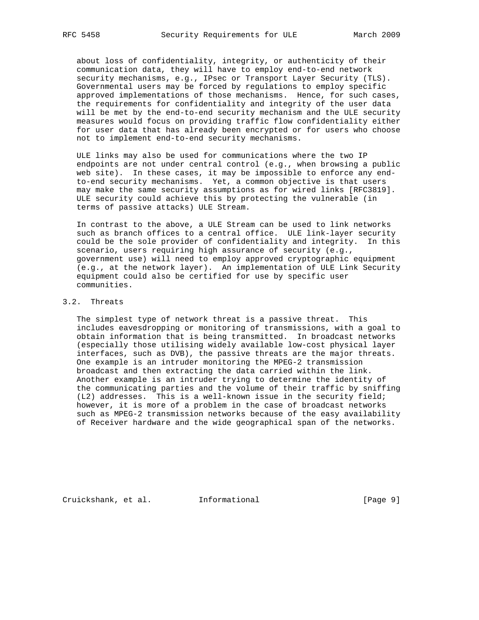about loss of confidentiality, integrity, or authenticity of their communication data, they will have to employ end-to-end network security mechanisms, e.g., IPsec or Transport Layer Security (TLS). Governmental users may be forced by regulations to employ specific approved implementations of those mechanisms. Hence, for such cases, the requirements for confidentiality and integrity of the user data will be met by the end-to-end security mechanism and the ULE security measures would focus on providing traffic flow confidentiality either for user data that has already been encrypted or for users who choose not to implement end-to-end security mechanisms.

 ULE links may also be used for communications where the two IP endpoints are not under central control (e.g., when browsing a public web site). In these cases, it may be impossible to enforce any end to-end security mechanisms. Yet, a common objective is that users may make the same security assumptions as for wired links [RFC3819]. ULE security could achieve this by protecting the vulnerable (in terms of passive attacks) ULE Stream.

 In contrast to the above, a ULE Stream can be used to link networks such as branch offices to a central office. ULE link-layer security could be the sole provider of confidentiality and integrity. In this scenario, users requiring high assurance of security (e.g., government use) will need to employ approved cryptographic equipment (e.g., at the network layer). An implementation of ULE Link Security equipment could also be certified for use by specific user communities.

## 3.2. Threats

 The simplest type of network threat is a passive threat. This includes eavesdropping or monitoring of transmissions, with a goal to obtain information that is being transmitted. In broadcast networks (especially those utilising widely available low-cost physical layer interfaces, such as DVB), the passive threats are the major threats. One example is an intruder monitoring the MPEG-2 transmission broadcast and then extracting the data carried within the link. Another example is an intruder trying to determine the identity of the communicating parties and the volume of their traffic by sniffing (L2) addresses. This is a well-known issue in the security field; however, it is more of a problem in the case of broadcast networks such as MPEG-2 transmission networks because of the easy availability of Receiver hardware and the wide geographical span of the networks.

Cruickshank, et al. Informational [Page 9]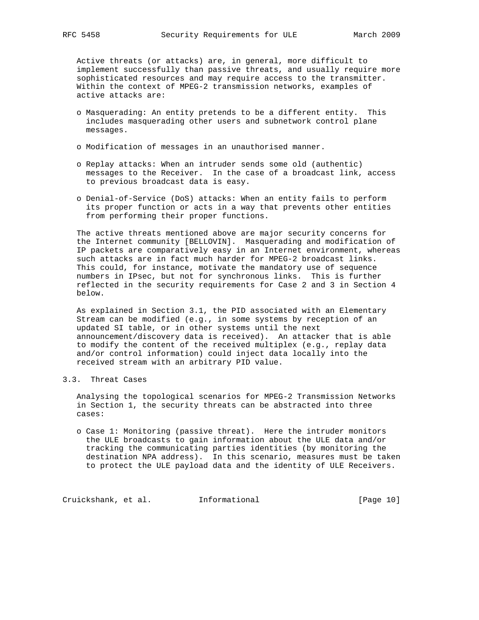Active threats (or attacks) are, in general, more difficult to implement successfully than passive threats, and usually require more sophisticated resources and may require access to the transmitter. Within the context of MPEG-2 transmission networks, examples of active attacks are:

- o Masquerading: An entity pretends to be a different entity. This includes masquerading other users and subnetwork control plane messages.
- o Modification of messages in an unauthorised manner.
- o Replay attacks: When an intruder sends some old (authentic) messages to the Receiver. In the case of a broadcast link, access to previous broadcast data is easy.
- o Denial-of-Service (DoS) attacks: When an entity fails to perform its proper function or acts in a way that prevents other entities from performing their proper functions.

 The active threats mentioned above are major security concerns for the Internet community [BELLOVIN]. Masquerading and modification of IP packets are comparatively easy in an Internet environment, whereas such attacks are in fact much harder for MPEG-2 broadcast links. This could, for instance, motivate the mandatory use of sequence numbers in IPsec, but not for synchronous links. This is further reflected in the security requirements for Case 2 and 3 in Section 4 below.

 As explained in Section 3.1, the PID associated with an Elementary Stream can be modified (e.g., in some systems by reception of an updated SI table, or in other systems until the next announcement/discovery data is received). An attacker that is able to modify the content of the received multiplex (e.g., replay data and/or control information) could inject data locally into the received stream with an arbitrary PID value.

## 3.3. Threat Cases

 Analysing the topological scenarios for MPEG-2 Transmission Networks in Section 1, the security threats can be abstracted into three cases:

 o Case 1: Monitoring (passive threat). Here the intruder monitors the ULE broadcasts to gain information about the ULE data and/or tracking the communicating parties identities (by monitoring the destination NPA address). In this scenario, measures must be taken to protect the ULE payload data and the identity of ULE Receivers.

Cruickshank, et al. Informational [Page 10]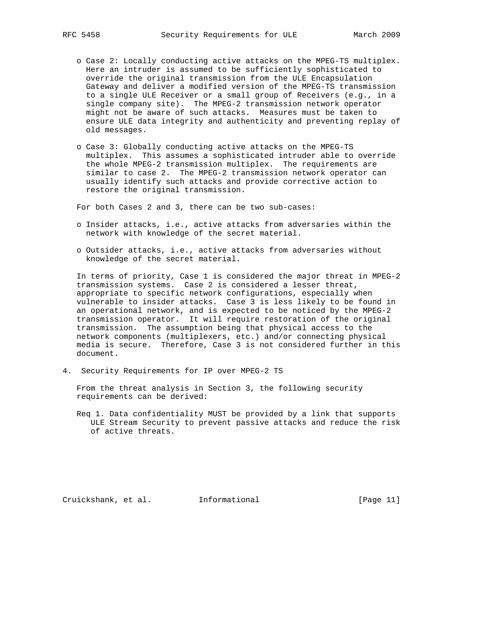- o Case 2: Locally conducting active attacks on the MPEG-TS multiplex. Here an intruder is assumed to be sufficiently sophisticated to override the original transmission from the ULE Encapsulation Gateway and deliver a modified version of the MPEG-TS transmission to a single ULE Receiver or a small group of Receivers (e.g., in a single company site). The MPEG-2 transmission network operator might not be aware of such attacks. Measures must be taken to ensure ULE data integrity and authenticity and preventing replay of old messages.
- o Case 3: Globally conducting active attacks on the MPEG-TS multiplex. This assumes a sophisticated intruder able to override the whole MPEG-2 transmission multiplex. The requirements are similar to case 2. The MPEG-2 transmission network operator can usually identify such attacks and provide corrective action to restore the original transmission.

For both Cases 2 and 3, there can be two sub-cases:

- o Insider attacks, i.e., active attacks from adversaries within the network with knowledge of the secret material.
- o Outsider attacks, i.e., active attacks from adversaries without knowledge of the secret material.

 In terms of priority, Case 1 is considered the major threat in MPEG-2 transmission systems. Case 2 is considered a lesser threat, appropriate to specific network configurations, especially when vulnerable to insider attacks. Case 3 is less likely to be found in an operational network, and is expected to be noticed by the MPEG-2 transmission operator. It will require restoration of the original transmission. The assumption being that physical access to the network components (multiplexers, etc.) and/or connecting physical media is secure. Therefore, Case 3 is not considered further in this document.

4. Security Requirements for IP over MPEG-2 TS

 From the threat analysis in Section 3, the following security requirements can be derived:

 Req 1. Data confidentiality MUST be provided by a link that supports ULE Stream Security to prevent passive attacks and reduce the risk of active threats.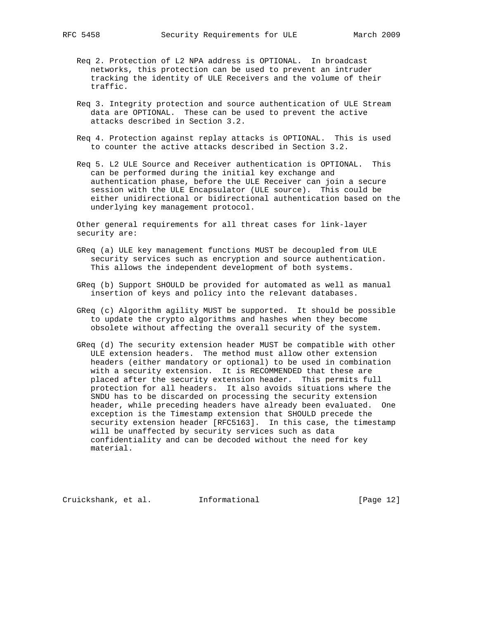- Req 2. Protection of L2 NPA address is OPTIONAL. In broadcast networks, this protection can be used to prevent an intruder tracking the identity of ULE Receivers and the volume of their traffic.
- Req 3. Integrity protection and source authentication of ULE Stream data are OPTIONAL. These can be used to prevent the active attacks described in Section 3.2.
- Req 4. Protection against replay attacks is OPTIONAL. This is used to counter the active attacks described in Section 3.2.
- Req 5. L2 ULE Source and Receiver authentication is OPTIONAL. This can be performed during the initial key exchange and authentication phase, before the ULE Receiver can join a secure session with the ULE Encapsulator (ULE source). This could be either unidirectional or bidirectional authentication based on the underlying key management protocol.

 Other general requirements for all threat cases for link-layer security are:

- GReq (a) ULE key management functions MUST be decoupled from ULE security services such as encryption and source authentication. This allows the independent development of both systems.
- GReq (b) Support SHOULD be provided for automated as well as manual insertion of keys and policy into the relevant databases.
- GReq (c) Algorithm agility MUST be supported. It should be possible to update the crypto algorithms and hashes when they become obsolete without affecting the overall security of the system.
- GReq (d) The security extension header MUST be compatible with other ULE extension headers. The method must allow other extension headers (either mandatory or optional) to be used in combination with a security extension. It is RECOMMENDED that these are placed after the security extension header. This permits full protection for all headers. It also avoids situations where the SNDU has to be discarded on processing the security extension header, while preceding headers have already been evaluated. One exception is the Timestamp extension that SHOULD precede the security extension header [RFC5163]. In this case, the timestamp will be unaffected by security services such as data confidentiality and can be decoded without the need for key material.

Cruickshank, et al. Informational [Page 12]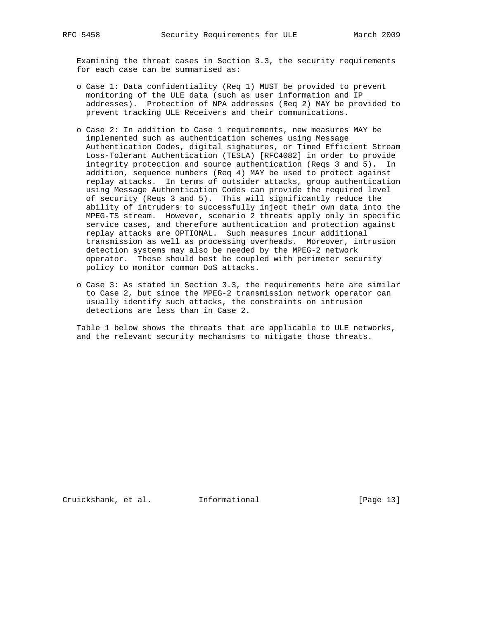Examining the threat cases in Section 3.3, the security requirements for each case can be summarised as:

- o Case 1: Data confidentiality (Req 1) MUST be provided to prevent monitoring of the ULE data (such as user information and IP addresses). Protection of NPA addresses (Req 2) MAY be provided to prevent tracking ULE Receivers and their communications.
- o Case 2: In addition to Case 1 requirements, new measures MAY be implemented such as authentication schemes using Message Authentication Codes, digital signatures, or Timed Efficient Stream Loss-Tolerant Authentication (TESLA) [RFC4082] in order to provide integrity protection and source authentication (Reqs 3 and 5). In addition, sequence numbers (Req 4) MAY be used to protect against replay attacks. In terms of outsider attacks, group authentication using Message Authentication Codes can provide the required level of security (Reqs 3 and 5). This will significantly reduce the ability of intruders to successfully inject their own data into the MPEG-TS stream. However, scenario 2 threats apply only in specific service cases, and therefore authentication and protection against replay attacks are OPTIONAL. Such measures incur additional transmission as well as processing overheads. Moreover, intrusion detection systems may also be needed by the MPEG-2 network operator. These should best be coupled with perimeter security policy to monitor common DoS attacks.
- o Case 3: As stated in Section 3.3, the requirements here are similar to Case 2, but since the MPEG-2 transmission network operator can usually identify such attacks, the constraints on intrusion detections are less than in Case 2.

 Table 1 below shows the threats that are applicable to ULE networks, and the relevant security mechanisms to mitigate those threats.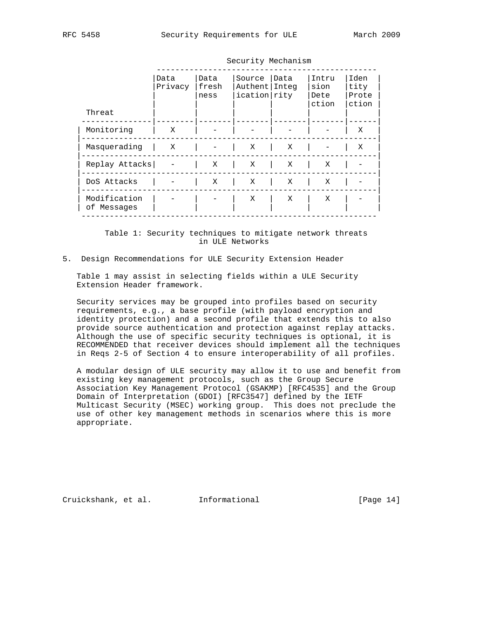| Threat                      | Data<br>Privacy | Data<br>fresh<br>ness | Source<br>Authent   Integ<br>ication rity | Data | Intru<br>sion<br>Dete<br>ction | Iden<br>tity<br>Prote<br>ction |  |
|-----------------------------|-----------------|-----------------------|-------------------------------------------|------|--------------------------------|--------------------------------|--|
| Monitoring                  | X               |                       |                                           |      |                                | X                              |  |
| Masquerading                | $\mathbf{X}$    |                       | Χ                                         | X    |                                | X                              |  |
| Replay Attacks              |                 | X                     | X                                         | X    | X                              |                                |  |
| DoS Attacks                 |                 | X                     | X                                         | Χ    | Χ                              |                                |  |
| Modification<br>of Messages |                 |                       | X                                         | X    | Χ                              |                                |  |

Security Mechanism

 Table 1: Security techniques to mitigate network threats in ULE Networks

## 5. Design Recommendations for ULE Security Extension Header

 Table 1 may assist in selecting fields within a ULE Security Extension Header framework.

 Security services may be grouped into profiles based on security requirements, e.g., a base profile (with payload encryption and identity protection) and a second profile that extends this to also provide source authentication and protection against replay attacks. Although the use of specific security techniques is optional, it is RECOMMENDED that receiver devices should implement all the techniques in Reqs 2-5 of Section 4 to ensure interoperability of all profiles.

 A modular design of ULE security may allow it to use and benefit from existing key management protocols, such as the Group Secure Association Key Management Protocol (GSAKMP) [RFC4535] and the Group Domain of Interpretation (GDOI) [RFC3547] defined by the IETF Multicast Security (MSEC) working group. This does not preclude the use of other key management methods in scenarios where this is more appropriate.

Cruickshank, et al. Informational [Page 14]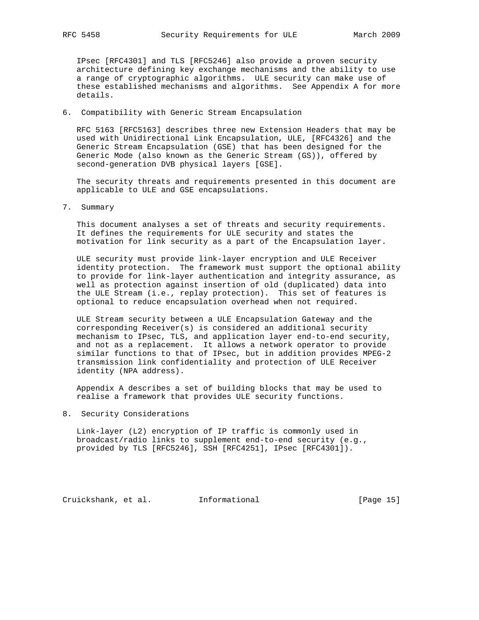IPsec [RFC4301] and TLS [RFC5246] also provide a proven security architecture defining key exchange mechanisms and the ability to use a range of cryptographic algorithms. ULE security can make use of these established mechanisms and algorithms. See Appendix A for more details.

## 6. Compatibility with Generic Stream Encapsulation

 RFC 5163 [RFC5163] describes three new Extension Headers that may be used with Unidirectional Link Encapsulation, ULE, [RFC4326] and the Generic Stream Encapsulation (GSE) that has been designed for the Generic Mode (also known as the Generic Stream (GS)), offered by second-generation DVB physical layers [GSE].

 The security threats and requirements presented in this document are applicable to ULE and GSE encapsulations.

7. Summary

 This document analyses a set of threats and security requirements. It defines the requirements for ULE security and states the motivation for link security as a part of the Encapsulation layer.

 ULE security must provide link-layer encryption and ULE Receiver identity protection. The framework must support the optional ability to provide for link-layer authentication and integrity assurance, as well as protection against insertion of old (duplicated) data into the ULE Stream (i.e., replay protection). This set of features is optional to reduce encapsulation overhead when not required.

 ULE Stream security between a ULE Encapsulation Gateway and the corresponding Receiver(s) is considered an additional security mechanism to IPsec, TLS, and application layer end-to-end security, and not as a replacement. It allows a network operator to provide similar functions to that of IPsec, but in addition provides MPEG-2 transmission link confidentiality and protection of ULE Receiver identity (NPA address).

 Appendix A describes a set of building blocks that may be used to realise a framework that provides ULE security functions.

8. Security Considerations

 Link-layer (L2) encryption of IP traffic is commonly used in broadcast/radio links to supplement end-to-end security (e.g., provided by TLS [RFC5246], SSH [RFC4251], IPsec [RFC4301]).

Cruickshank, et al. Informational [Page 15]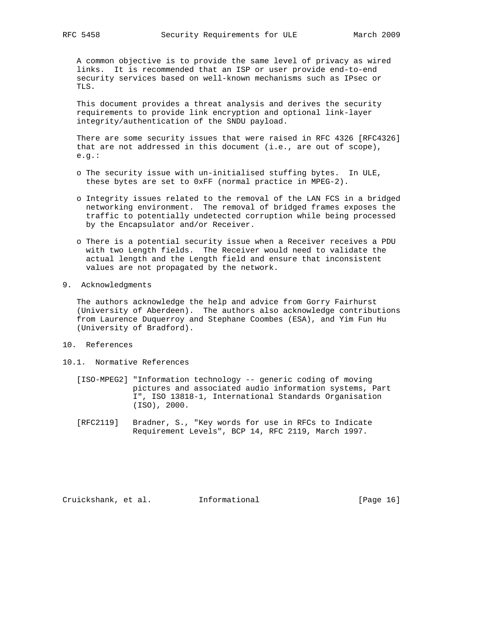A common objective is to provide the same level of privacy as wired links. It is recommended that an ISP or user provide end-to-end security services based on well-known mechanisms such as IPsec or TLS.

 This document provides a threat analysis and derives the security requirements to provide link encryption and optional link-layer integrity/authentication of the SNDU payload.

 There are some security issues that were raised in RFC 4326 [RFC4326] that are not addressed in this document (i.e., are out of scope), e.g.:

- o The security issue with un-initialised stuffing bytes. In ULE, these bytes are set to 0xFF (normal practice in MPEG-2).
- o Integrity issues related to the removal of the LAN FCS in a bridged networking environment. The removal of bridged frames exposes the traffic to potentially undetected corruption while being processed by the Encapsulator and/or Receiver.
- o There is a potential security issue when a Receiver receives a PDU with two Length fields. The Receiver would need to validate the actual length and the Length field and ensure that inconsistent values are not propagated by the network.
- 9. Acknowledgments

 The authors acknowledge the help and advice from Gorry Fairhurst (University of Aberdeen). The authors also acknowledge contributions from Laurence Duquerroy and Stephane Coombes (ESA), and Yim Fun Hu (University of Bradford).

- 10. References
- 10.1. Normative References
	- [ISO-MPEG2] "Information technology -- generic coding of moving pictures and associated audio information systems, Part I", ISO 13818-1, International Standards Organisation (ISO), 2000.
	- [RFC2119] Bradner, S., "Key words for use in RFCs to Indicate Requirement Levels", BCP 14, RFC 2119, March 1997.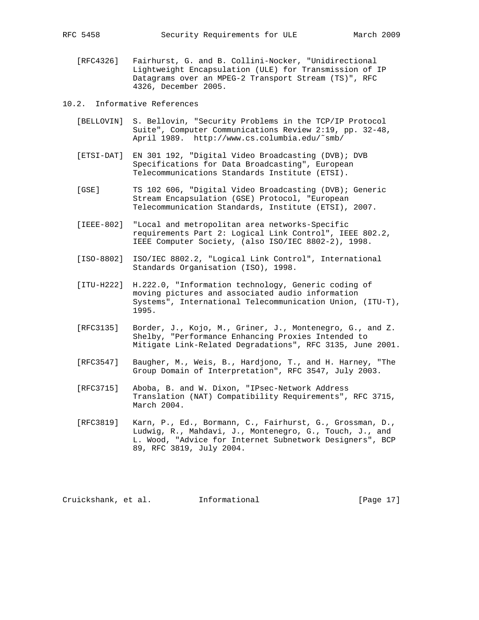[RFC4326] Fairhurst, G. and B. Collini-Nocker, "Unidirectional Lightweight Encapsulation (ULE) for Transmission of IP Datagrams over an MPEG-2 Transport Stream (TS)", RFC 4326, December 2005.

10.2. Informative References

- [BELLOVIN] S. Bellovin, "Security Problems in the TCP/IP Protocol Suite", Computer Communications Review 2:19, pp. 32-48, April 1989. http://www.cs.columbia.edu/˜smb/
- [ETSI-DAT] EN 301 192, "Digital Video Broadcasting (DVB); DVB Specifications for Data Broadcasting", European Telecommunications Standards Institute (ETSI).
- [GSE] TS 102 606, "Digital Video Broadcasting (DVB); Generic Stream Encapsulation (GSE) Protocol, "European Telecommunication Standards, Institute (ETSI), 2007.
- [IEEE-802] "Local and metropolitan area networks-Specific requirements Part 2: Logical Link Control", IEEE 802.2, IEEE Computer Society, (also ISO/IEC 8802-2), 1998.
- [ISO-8802] ISO/IEC 8802.2, "Logical Link Control", International Standards Organisation (ISO), 1998.
- [ITU-H222] H.222.0, "Information technology, Generic coding of moving pictures and associated audio information Systems", International Telecommunication Union, (ITU-T), 1995.
- [RFC3135] Border, J., Kojo, M., Griner, J., Montenegro, G., and Z. Shelby, "Performance Enhancing Proxies Intended to Mitigate Link-Related Degradations", RFC 3135, June 2001.
- [RFC3547] Baugher, M., Weis, B., Hardjono, T., and H. Harney, "The Group Domain of Interpretation", RFC 3547, July 2003.
- [RFC3715] Aboba, B. and W. Dixon, "IPsec-Network Address Translation (NAT) Compatibility Requirements", RFC 3715, March 2004.
- [RFC3819] Karn, P., Ed., Bormann, C., Fairhurst, G., Grossman, D., Ludwig, R., Mahdavi, J., Montenegro, G., Touch, J., and L. Wood, "Advice for Internet Subnetwork Designers", BCP 89, RFC 3819, July 2004.

Cruickshank, et al. Informational [Page 17]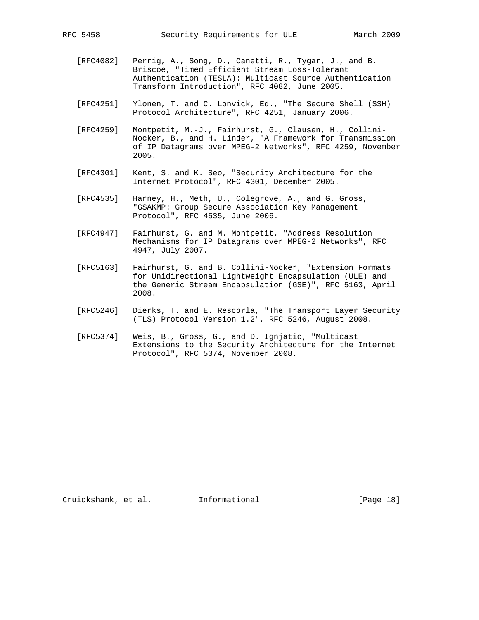- [RFC4082] Perrig, A., Song, D., Canetti, R., Tygar, J., and B. Briscoe, "Timed Efficient Stream Loss-Tolerant Authentication (TESLA): Multicast Source Authentication Transform Introduction", RFC 4082, June 2005.
- [RFC4251] Ylonen, T. and C. Lonvick, Ed., "The Secure Shell (SSH) Protocol Architecture", RFC 4251, January 2006.
- [RFC4259] Montpetit, M.-J., Fairhurst, G., Clausen, H., Collini- Nocker, B., and H. Linder, "A Framework for Transmission of IP Datagrams over MPEG-2 Networks", RFC 4259, November 2005.
- [RFC4301] Kent, S. and K. Seo, "Security Architecture for the Internet Protocol", RFC 4301, December 2005.
- [RFC4535] Harney, H., Meth, U., Colegrove, A., and G. Gross, "GSAKMP: Group Secure Association Key Management Protocol", RFC 4535, June 2006.
- [RFC4947] Fairhurst, G. and M. Montpetit, "Address Resolution Mechanisms for IP Datagrams over MPEG-2 Networks", RFC 4947, July 2007.
- [RFC5163] Fairhurst, G. and B. Collini-Nocker, "Extension Formats for Unidirectional Lightweight Encapsulation (ULE) and the Generic Stream Encapsulation (GSE)", RFC 5163, April 2008.
- [RFC5246] Dierks, T. and E. Rescorla, "The Transport Layer Security (TLS) Protocol Version 1.2", RFC 5246, August 2008.
- [RFC5374] Weis, B., Gross, G., and D. Ignjatic, "Multicast Extensions to the Security Architecture for the Internet Protocol", RFC 5374, November 2008.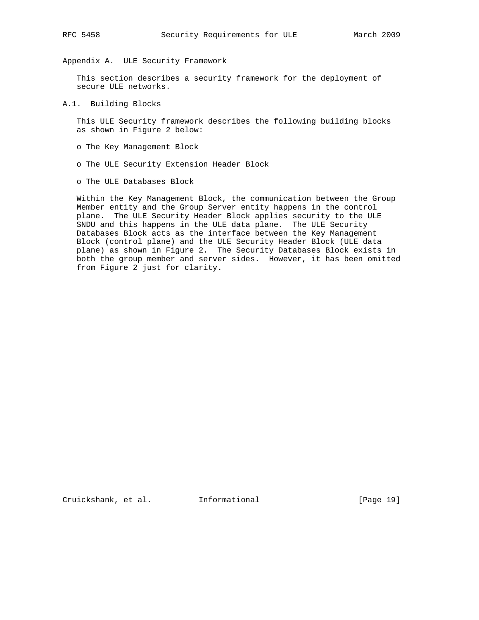Appendix A. ULE Security Framework

 This section describes a security framework for the deployment of secure ULE networks.

A.1. Building Blocks

 This ULE Security framework describes the following building blocks as shown in Figure 2 below:

- o The Key Management Block
- o The ULE Security Extension Header Block
- o The ULE Databases Block

 Within the Key Management Block, the communication between the Group Member entity and the Group Server entity happens in the control plane. The ULE Security Header Block applies security to the ULE SNDU and this happens in the ULE data plane. The ULE Security Databases Block acts as the interface between the Key Management Block (control plane) and the ULE Security Header Block (ULE data plane) as shown in Figure 2. The Security Databases Block exists in both the group member and server sides. However, it has been omitted from Figure 2 just for clarity.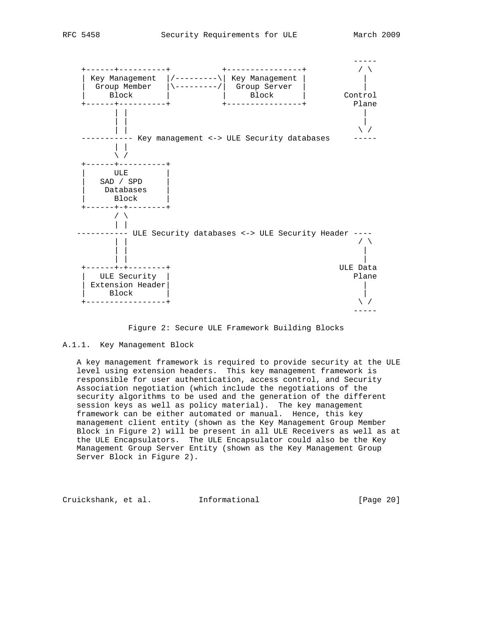

#### Figure 2: Secure ULE Framework Building Blocks

#### A.1.1. Key Management Block

 A key management framework is required to provide security at the ULE level using extension headers. This key management framework is responsible for user authentication, access control, and Security Association negotiation (which include the negotiations of the security algorithms to be used and the generation of the different session keys as well as policy material). The key management framework can be either automated or manual. Hence, this key management client entity (shown as the Key Management Group Member Block in Figure 2) will be present in all ULE Receivers as well as at the ULE Encapsulators. The ULE Encapsulator could also be the Key Management Group Server Entity (shown as the Key Management Group Server Block in Figure 2).

Cruickshank, et al. Informational [Page 20]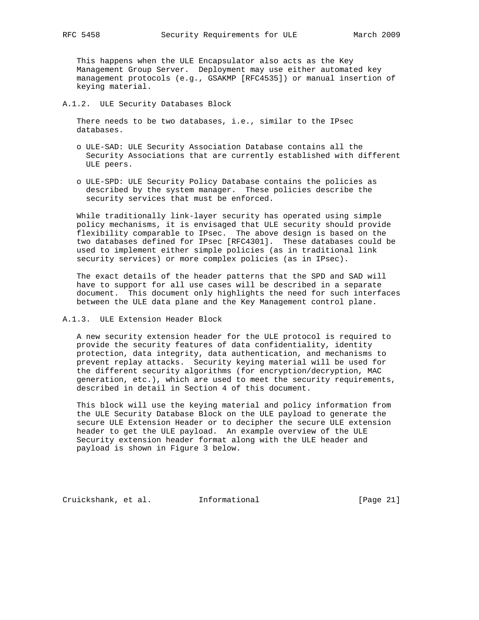This happens when the ULE Encapsulator also acts as the Key Management Group Server. Deployment may use either automated key management protocols (e.g., GSAKMP [RFC4535]) or manual insertion of keying material.

### A.1.2. ULE Security Databases Block

 There needs to be two databases, i.e., similar to the IPsec databases.

- o ULE-SAD: ULE Security Association Database contains all the Security Associations that are currently established with different ULE peers.
- o ULE-SPD: ULE Security Policy Database contains the policies as described by the system manager. These policies describe the security services that must be enforced.

 While traditionally link-layer security has operated using simple policy mechanisms, it is envisaged that ULE security should provide flexibility comparable to IPsec. The above design is based on the two databases defined for IPsec [RFC4301]. These databases could be used to implement either simple policies (as in traditional link security services) or more complex policies (as in IPsec).

 The exact details of the header patterns that the SPD and SAD will have to support for all use cases will be described in a separate document. This document only highlights the need for such interfaces between the ULE data plane and the Key Management control plane.

### A.1.3. ULE Extension Header Block

 A new security extension header for the ULE protocol is required to provide the security features of data confidentiality, identity protection, data integrity, data authentication, and mechanisms to prevent replay attacks. Security keying material will be used for the different security algorithms (for encryption/decryption, MAC generation, etc.), which are used to meet the security requirements, described in detail in Section 4 of this document.

 This block will use the keying material and policy information from the ULE Security Database Block on the ULE payload to generate the secure ULE Extension Header or to decipher the secure ULE extension header to get the ULE payload. An example overview of the ULE Security extension header format along with the ULE header and payload is shown in Figure 3 below.

Cruickshank, et al. Informational [Page 21]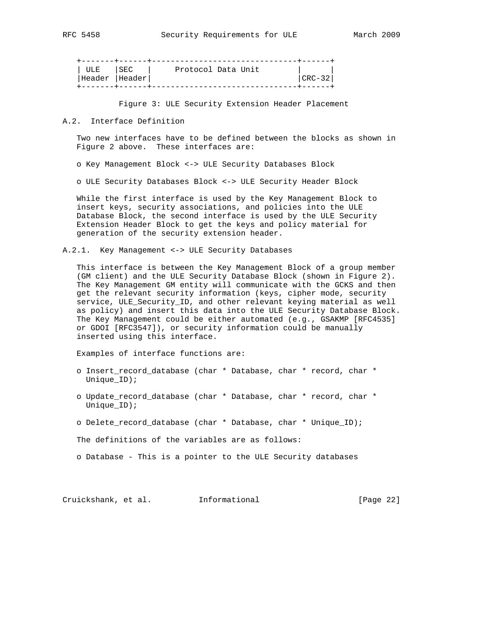| ULE ISEC       | Protocol Data Unit |          |
|----------------|--------------------|----------|
| Header  Header |                    | CRC – 32 |
|                |                    |          |

Figure 3: ULE Security Extension Header Placement

#### A.2. Interface Definition

 Two new interfaces have to be defined between the blocks as shown in Figure 2 above. These interfaces are:

o Key Management Block <-> ULE Security Databases Block

o ULE Security Databases Block <-> ULE Security Header Block

 While the first interface is used by the Key Management Block to insert keys, security associations, and policies into the ULE Database Block, the second interface is used by the ULE Security Extension Header Block to get the keys and policy material for generation of the security extension header.

A.2.1. Key Management <-> ULE Security Databases

 This interface is between the Key Management Block of a group member (GM client) and the ULE Security Database Block (shown in Figure 2). The Key Management GM entity will communicate with the GCKS and then get the relevant security information (keys, cipher mode, security service, ULE\_Security\_ID, and other relevant keying material as well as policy) and insert this data into the ULE Security Database Block. The Key Management could be either automated (e.g., GSAKMP [RFC4535] or GDOI [RFC3547]), or security information could be manually inserted using this interface.

Examples of interface functions are:

- o Insert\_record\_database (char \* Database, char \* record, char \* Unique\_ID);
- o Update\_record\_database (char \* Database, char \* record, char \* Unique\_ID);
- o Delete\_record\_database (char \* Database, char \* Unique\_ID);

The definitions of the variables are as follows:

o Database - This is a pointer to the ULE Security databases

Cruickshank, et al. Informational [Page 22]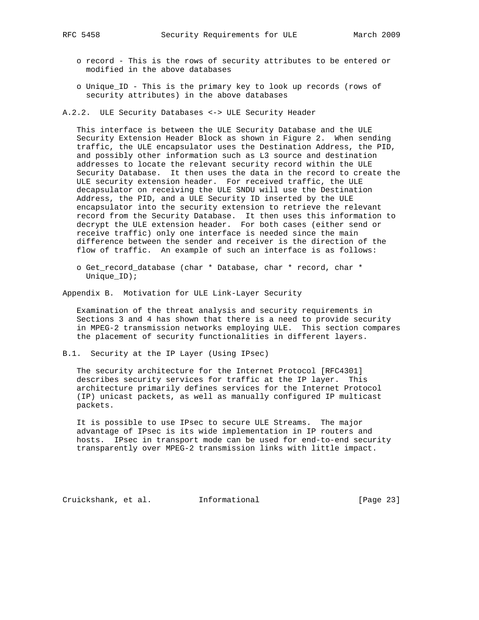- o record This is the rows of security attributes to be entered or modified in the above databases
- o Unique\_ID This is the primary key to look up records (rows of security attributes) in the above databases
- A.2.2. ULE Security Databases <-> ULE Security Header

 This interface is between the ULE Security Database and the ULE Security Extension Header Block as shown in Figure 2. When sending traffic, the ULE encapsulator uses the Destination Address, the PID, and possibly other information such as L3 source and destination addresses to locate the relevant security record within the ULE Security Database. It then uses the data in the record to create the ULE security extension header. For received traffic, the ULE decapsulator on receiving the ULE SNDU will use the Destination Address, the PID, and a ULE Security ID inserted by the ULE encapsulator into the security extension to retrieve the relevant record from the Security Database. It then uses this information to decrypt the ULE extension header. For both cases (either send or receive traffic) only one interface is needed since the main difference between the sender and receiver is the direction of the flow of traffic. An example of such an interface is as follows:

 o Get\_record\_database (char \* Database, char \* record, char \* Unique\_ID);

Appendix B. Motivation for ULE Link-Layer Security

 Examination of the threat analysis and security requirements in Sections 3 and 4 has shown that there is a need to provide security in MPEG-2 transmission networks employing ULE. This section compares the placement of security functionalities in different layers.

B.1. Security at the IP Layer (Using IPsec)

 The security architecture for the Internet Protocol [RFC4301] describes security services for traffic at the IP layer. This architecture primarily defines services for the Internet Protocol (IP) unicast packets, as well as manually configured IP multicast packets.

 It is possible to use IPsec to secure ULE Streams. The major advantage of IPsec is its wide implementation in IP routers and hosts. IPsec in transport mode can be used for end-to-end security transparently over MPEG-2 transmission links with little impact.

Cruickshank, et al. Informational [Page 23]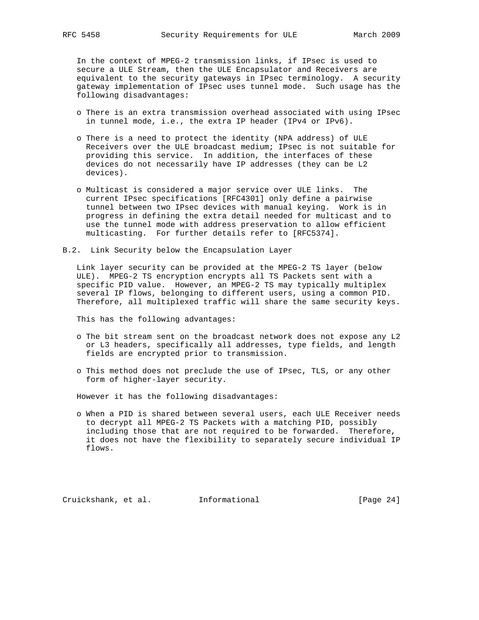In the context of MPEG-2 transmission links, if IPsec is used to secure a ULE Stream, then the ULE Encapsulator and Receivers are equivalent to the security gateways in IPsec terminology. A security gateway implementation of IPsec uses tunnel mode. Such usage has the following disadvantages:

- o There is an extra transmission overhead associated with using IPsec in tunnel mode, i.e., the extra IP header (IPv4 or IPv6).
- o There is a need to protect the identity (NPA address) of ULE Receivers over the ULE broadcast medium; IPsec is not suitable for providing this service. In addition, the interfaces of these devices do not necessarily have IP addresses (they can be L2 devices).
- o Multicast is considered a major service over ULE links. The current IPsec specifications [RFC4301] only define a pairwise tunnel between two IPsec devices with manual keying. Work is in progress in defining the extra detail needed for multicast and to use the tunnel mode with address preservation to allow efficient multicasting. For further details refer to [RFC5374].
- B.2. Link Security below the Encapsulation Layer

 Link layer security can be provided at the MPEG-2 TS layer (below ULE). MPEG-2 TS encryption encrypts all TS Packets sent with a specific PID value. However, an MPEG-2 TS may typically multiplex several IP flows, belonging to different users, using a common PID. Therefore, all multiplexed traffic will share the same security keys.

This has the following advantages:

- o The bit stream sent on the broadcast network does not expose any L2 or L3 headers, specifically all addresses, type fields, and length fields are encrypted prior to transmission.
- o This method does not preclude the use of IPsec, TLS, or any other form of higher-layer security.

However it has the following disadvantages:

 o When a PID is shared between several users, each ULE Receiver needs to decrypt all MPEG-2 TS Packets with a matching PID, possibly including those that are not required to be forwarded. Therefore, it does not have the flexibility to separately secure individual IP flows.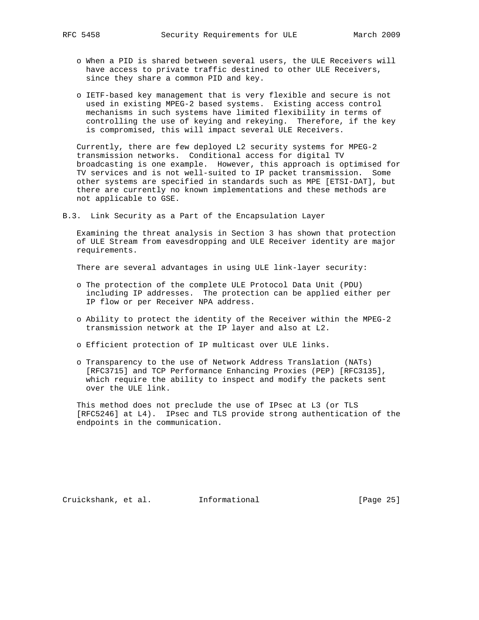- o When a PID is shared between several users, the ULE Receivers will have access to private traffic destined to other ULE Receivers, since they share a common PID and key.
- o IETF-based key management that is very flexible and secure is not used in existing MPEG-2 based systems. Existing access control mechanisms in such systems have limited flexibility in terms of controlling the use of keying and rekeying. Therefore, if the key is compromised, this will impact several ULE Receivers.

 Currently, there are few deployed L2 security systems for MPEG-2 transmission networks. Conditional access for digital TV broadcasting is one example. However, this approach is optimised for TV services and is not well-suited to IP packet transmission. Some other systems are specified in standards such as MPE [ETSI-DAT], but there are currently no known implementations and these methods are not applicable to GSE.

B.3. Link Security as a Part of the Encapsulation Layer

 Examining the threat analysis in Section 3 has shown that protection of ULE Stream from eavesdropping and ULE Receiver identity are major requirements.

There are several advantages in using ULE link-layer security:

- o The protection of the complete ULE Protocol Data Unit (PDU) including IP addresses. The protection can be applied either per IP flow or per Receiver NPA address.
- o Ability to protect the identity of the Receiver within the MPEG-2 transmission network at the IP layer and also at L2.
- o Efficient protection of IP multicast over ULE links.
- o Transparency to the use of Network Address Translation (NATs) [RFC3715] and TCP Performance Enhancing Proxies (PEP) [RFC3135], which require the ability to inspect and modify the packets sent over the ULE link.

 This method does not preclude the use of IPsec at L3 (or TLS [RFC5246] at L4). IPsec and TLS provide strong authentication of the endpoints in the communication.

Cruickshank, et al. Informational [Page 25]